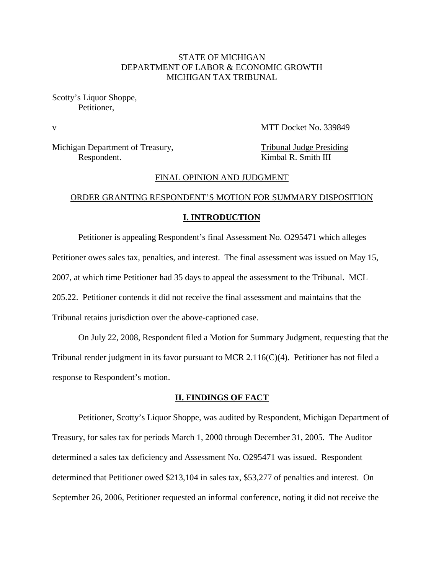# STATE OF MICHIGAN DEPARTMENT OF LABOR & ECONOMIC GROWTH MICHIGAN TAX TRIBUNAL

Scotty's Liquor Shoppe, Petitioner,

v MTT Docket No. 339849

Michigan Department of Treasury, Tribunal Judge Presiding Respondent. Kimbal R. Smith III

#### FINAL OPINION AND JUDGMENT

### ORDER GRANTING RESPONDENT'S MOTION FOR SUMMARY DISPOSITION

#### **I. INTRODUCTION**

Petitioner is appealing Respondent's final Assessment No. O295471 which alleges Petitioner owes sales tax, penalties, and interest. The final assessment was issued on May 15, 2007, at which time Petitioner had 35 days to appeal the assessment to the Tribunal. MCL 205.22. Petitioner contends it did not receive the final assessment and maintains that the Tribunal retains jurisdiction over the above-captioned case.

On July 22, 2008, Respondent filed a Motion for Summary Judgment, requesting that the Tribunal render judgment in its favor pursuant to MCR 2.116( $C$ )(4). Petitioner has not filed a response to Respondent's motion.

#### **II. FINDINGS OF FACT**

Petitioner, Scotty's Liquor Shoppe, was audited by Respondent, Michigan Department of Treasury, for sales tax for periods March 1, 2000 through December 31, 2005. The Auditor determined a sales tax deficiency and Assessment No. O295471 was issued. Respondent determined that Petitioner owed \$213,104 in sales tax, \$53,277 of penalties and interest. On September 26, 2006, Petitioner requested an informal conference, noting it did not receive the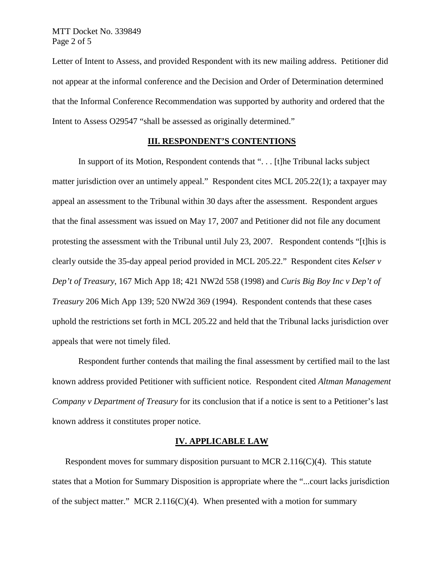Letter of Intent to Assess, and provided Respondent with its new mailing address. Petitioner did not appear at the informal conference and the Decision and Order of Determination determined that the Informal Conference Recommendation was supported by authority and ordered that the Intent to Assess O29547 "shall be assessed as originally determined."

### **III. RESPONDENT'S CONTENTIONS**

In support of its Motion, Respondent contends that ". . . [t]he Tribunal lacks subject matter jurisdiction over an untimely appeal." Respondent cites MCL 205.22(1); a taxpayer may appeal an assessment to the Tribunal within 30 days after the assessment. Respondent argues that the final assessment was issued on May 17, 2007 and Petitioner did not file any document protesting the assessment with the Tribunal until July 23, 2007. Respondent contends "[t]his is clearly outside the 35-day appeal period provided in MCL 205.22." Respondent cites *Kelser v Dep't of Treasury*, 167 Mich App 18; 421 NW2d 558 (1998) and *Curis Big Boy Inc v Dep't of Treasury* 206 Mich App 139; 520 NW2d 369 (1994). Respondent contends that these cases uphold the restrictions set forth in MCL 205.22 and held that the Tribunal lacks jurisdiction over appeals that were not timely filed.

Respondent further contends that mailing the final assessment by certified mail to the last known address provided Petitioner with sufficient notice. Respondent cited *Altman Management Company v Department of Treasury* for its conclusion that if a notice is sent to a Petitioner's last known address it constitutes proper notice.

## **IV. APPLICABLE LAW**

Respondent moves for summary disposition pursuant to MCR 2.116( $C$ )(4). This statute states that a Motion for Summary Disposition is appropriate where the "...court lacks jurisdiction of the subject matter." MCR 2.116(C)(4). When presented with a motion for summary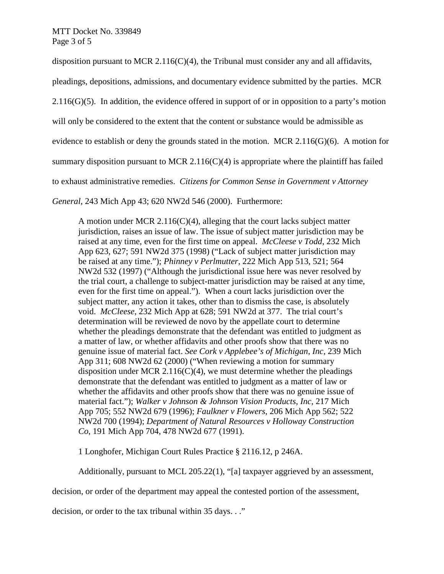disposition pursuant to MCR 2.116(C)(4), the Tribunal must consider any and all affidavits,

pleadings, depositions, admissions, and documentary evidence submitted by the parties. MCR

 $2.116(G)(5)$ . In addition, the evidence offered in support of or in opposition to a party's motion

will only be considered to the extent that the content or substance would be admissible as

evidence to establish or deny the grounds stated in the motion. MCR 2.116(G)(6). A motion for

summary disposition pursuant to MCR 2.116(C)(4) is appropriate where the plaintiff has failed

to exhaust administrative remedies. *Citizens for Common Sense in Government v Attorney* 

*General*, 243 Mich App 43; 620 NW2d 546 (2000). Furthermore:

A motion under MCR 2.116(C)(4), alleging that the court lacks subject matter jurisdiction, raises an issue of law. The issue of subject matter jurisdiction may be raised at any time, even for the first time on appeal. *McCleese v Todd*, 232 Mich App 623, 627; 591 NW2d 375 (1998) ("Lack of subject matter jurisdiction may be raised at any time."); *Phinney v Perlmutter*, 222 Mich App 513, 521; 564 NW2d 532 (1997) ("Although the jurisdictional issue here was never resolved by the trial court, a challenge to subject-matter jurisdiction may be raised at any time, even for the first time on appeal."). When a court lacks jurisdiction over the subject matter, any action it takes, other than to dismiss the case, is absolutely void. *McCleese*, 232 Mich App at 628; 591 NW2d at 377. The trial court's determination will be reviewed de novo by the appellate court to determine whether the pleadings demonstrate that the defendant was entitled to judgment as a matter of law, or whether affidavits and other proofs show that there was no genuine issue of material fact. *See Cork v Applebee's of Michigan*, *Inc*, 239 Mich App 311; 608 NW2d 62 (2000) ("When reviewing a motion for summary disposition under MCR 2.116(C)(4), we must determine whether the pleadings demonstrate that the defendant was entitled to judgment as a matter of law or whether the affidavits and other proofs show that there was no genuine issue of material fact."); *Walker v Johnson & Johnson Vision Products*, *Inc*, 217 Mich App 705; 552 NW2d 679 (1996); *Faulkner v Flowers*, 206 Mich App 562; 522 NW2d 700 (1994); *Department of Natural Resources v Holloway Construction Co*, 191 Mich App 704, 478 NW2d 677 (1991).

1 Longhofer, Michigan Court Rules Practice § 2116.12, p 246A.

Additionally, pursuant to MCL 205.22(1), "[a] taxpayer aggrieved by an assessment,

decision, or order of the department may appeal the contested portion of the assessment,

decision, or order to the tax tribunal within 35 days. . ."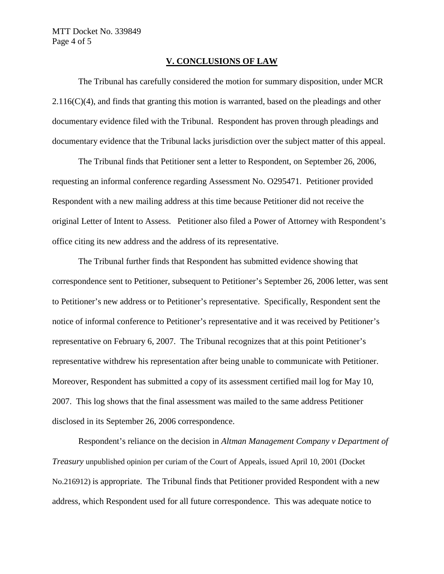# **V. CONCLUSIONS OF LAW**

The Tribunal has carefully considered the motion for summary disposition, under MCR  $2.116(C)(4)$ , and finds that granting this motion is warranted, based on the pleadings and other documentary evidence filed with the Tribunal. Respondent has proven through pleadings and documentary evidence that the Tribunal lacks jurisdiction over the subject matter of this appeal.

The Tribunal finds that Petitioner sent a letter to Respondent, on September 26, 2006, requesting an informal conference regarding Assessment No. O295471. Petitioner provided Respondent with a new mailing address at this time because Petitioner did not receive the original Letter of Intent to Assess. Petitioner also filed a Power of Attorney with Respondent's office citing its new address and the address of its representative.

The Tribunal further finds that Respondent has submitted evidence showing that correspondence sent to Petitioner, subsequent to Petitioner's September 26, 2006 letter, was sent to Petitioner's new address or to Petitioner's representative. Specifically, Respondent sent the notice of informal conference to Petitioner's representative and it was received by Petitioner's representative on February 6, 2007. The Tribunal recognizes that at this point Petitioner's representative withdrew his representation after being unable to communicate with Petitioner. Moreover, Respondent has submitted a copy of its assessment certified mail log for May 10, 2007. This log shows that the final assessment was mailed to the same address Petitioner disclosed in its September 26, 2006 correspondence.

Respondent's reliance on the decision in *Altman Management Company v Department of Treasury* unpublished opinion per curiam of the Court of Appeals, issued April 10, 2001 (Docket No.216912) is appropriate. The Tribunal finds that Petitioner provided Respondent with a new address, which Respondent used for all future correspondence. This was adequate notice to